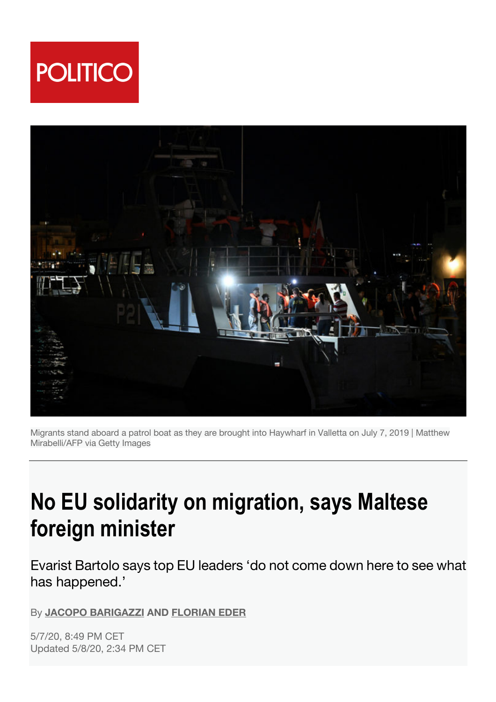



Migrants stand aboard a patrol boat as they are brought into Haywharf in Valletta on July 7, 2019 | Matthew Mirabelli/AFP via Getty Images

## **No EU solidarity on migration, says Maltese foreign minister**

Evarist Bartolo says top EU leaders 'do not come down here to see what has happened.'

By **JACOPO BARIGAZZI AND FLORIAN EDER**

5/7/20, 8:49 PM CET Updated 5/8/20, 2:34 PM CET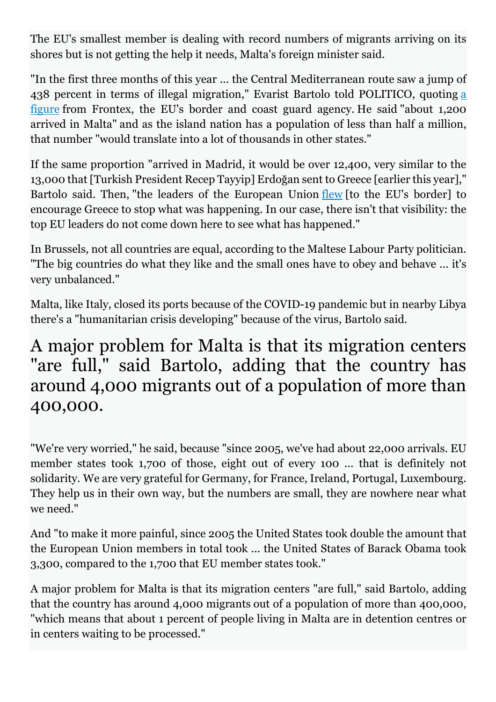The EU's smallest member is dealing with record numbers of migrants arriving on its shores but is not getting the help it needs, Malta's foreign minister said.

"In the first three months of this year ... the Central Mediterranean route saw a jump of 438 percent in terms of illegal migration," Evarist Bartolo told POLITICO, quoting a figure from Frontex, the EU's border and coast guard agency. He said "about 1,200 arrived in Malta" and as the island nation has a population of less than half a million, that number "would translate into a lot of thousands in other states."

If the same proportion "arrived in Madrid, it would be over 12,400, very similar to the 13,000 that [Turkish President Recep Tayyip] Erdoğan sent to Greece [earlier this year]," Bartolo said. Then, "the leaders of the European Union flew [to the EU's border] to encourage Greece to stop what was happening. In our case, there isn't that visibility: the top EU leaders do not come down here to see what has happened."

In Brussels, not all countries are equal, according to the Maltese Labour Party politician. "The big countries do what they like and the small ones have to obey and behave ... it's very unbalanced."

Malta, like Italy, closed its ports because of the COVID-19 pandemic but in nearby Libya there's a "humanitarian crisis developing" because of the virus, Bartolo said.

## A major problem for Malta is that its migration centers "are full," said Bartolo, adding that the country has around 4,000 migrants out of a population of more than 400,000.

"We're very worried," he said, because "since 2005, we've had about 22,000 arrivals. EU member states took 1,700 of those, eight out of every 100 ... that is definitely not solidarity. We are very grateful for Germany, for France, Ireland, Portugal, Luxembourg. They help us in their own way, but the numbers are small, they are nowhere near what we need."

And "to make it more painful, since 2005 the United States took double the amount that the European Union members in total took ... the United States of Barack Obama took 3,300, compared to the 1,700 that EU member states took."

A major problem for Malta is that its migration centers "are full," said Bartolo, adding that the country has around 4,000 migrants out of a population of more than 400,000, "which means that about 1 percent of people living in Malta are in detention centres or in centers waiting to be processed."